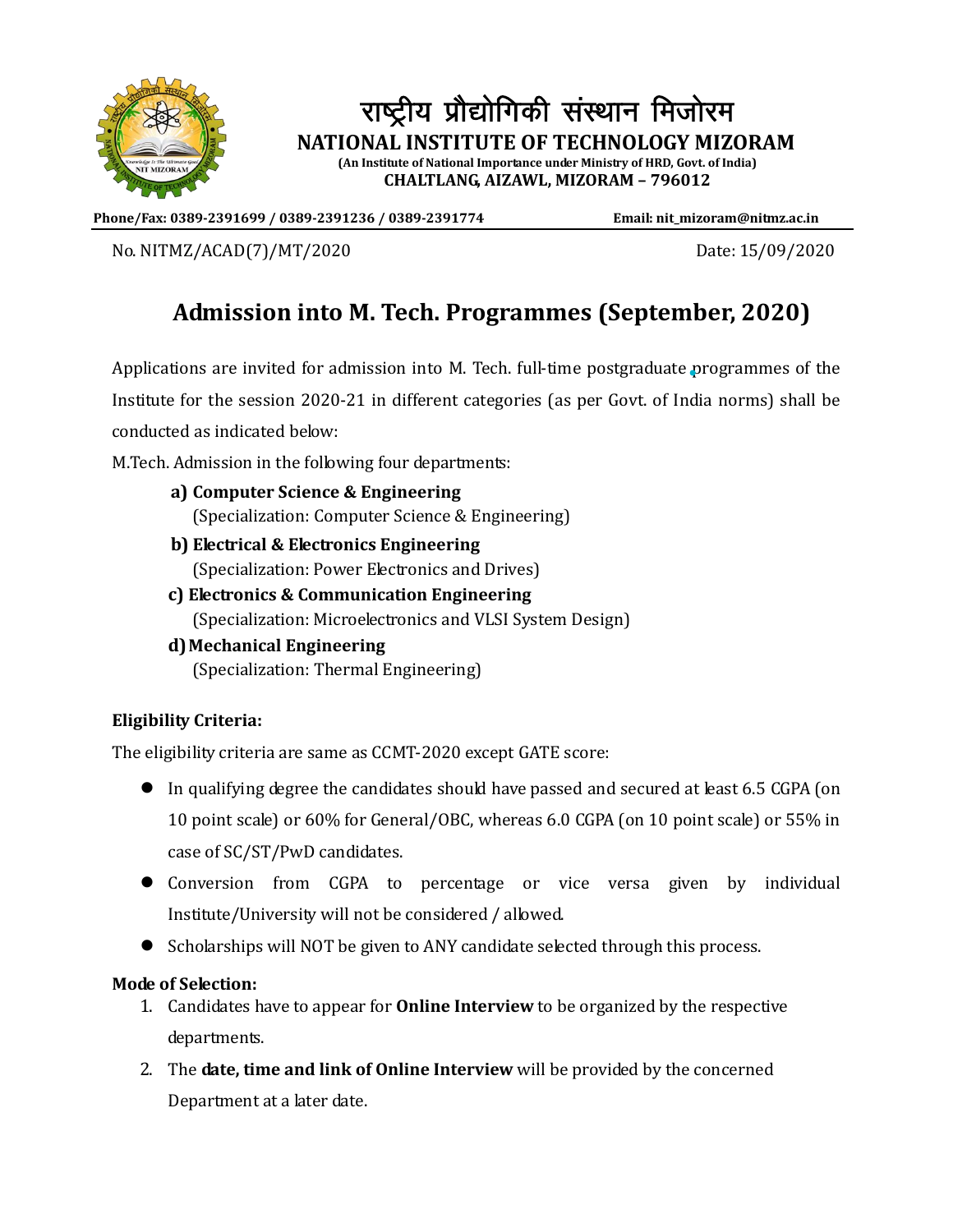

# राष्ट्रीय प्रौद्योगिकी संस्थान मिजोरम  **NATIONAL INSTITUTE OF TECHNOLOGY MIZORAM**

**(An Institute of National Importance under Ministry of HRD, Govt. of India) CHALTLANG, AIZAWL, MIZORAM – 796012**

**Phone/Fax: 0389-2391699 / 0389-2391236 / 0389-2391774 Email: nit\_mizoram@nitmz.ac.in**

No. NITMZ/ACAD(7)/MT/2020 Date: 15/09/2020

## **Admission into M. Tech. Programmes (September, 2020)**

Applications are invited for admission into M. Tech. full-time postgraduate programmes of the Institute for the session 2020-21 in different categories (as per Govt. of India norms) shall be conducted as indicated below:

M.Tech. Admission in the following four departments:

- **a) Computer Science & Engineering** (Specialization: Computer Science & Engineering)
- **b) Electrical & Electronics Engineering** (Specialization: Power Electronics and Drives)
- **c) Electronics & Communication Engineering** (Specialization: Microelectronics and VLSI System Design)
- **d)Mechanical Engineering** (Specialization: Thermal Engineering)

### **Eligibility Criteria:**

The eligibility criteria are same as CCMT-2020 except GATE score:

- In qualifying degree the candidates should have passed and secured at least 6.5 CGPA (on 10 point scale) or 60% for General/OBC, whereas 6.0 CGPA (on 10 point scale) or 55% in case of SC/ST/PwD candidates.
- Conversion from CGPA to percentage or vice versa given by individual Institute/University will not be considered / allowed.
- Scholarships will NOT be given to ANY candidate selected through this process.

#### **Mode of Selection:**

- 1. Candidates have to appear for **Online Interview** to be organized by the respective departments.
- 2. The **date, time and link of Online Interview** will be provided by the concerned Department at a later date.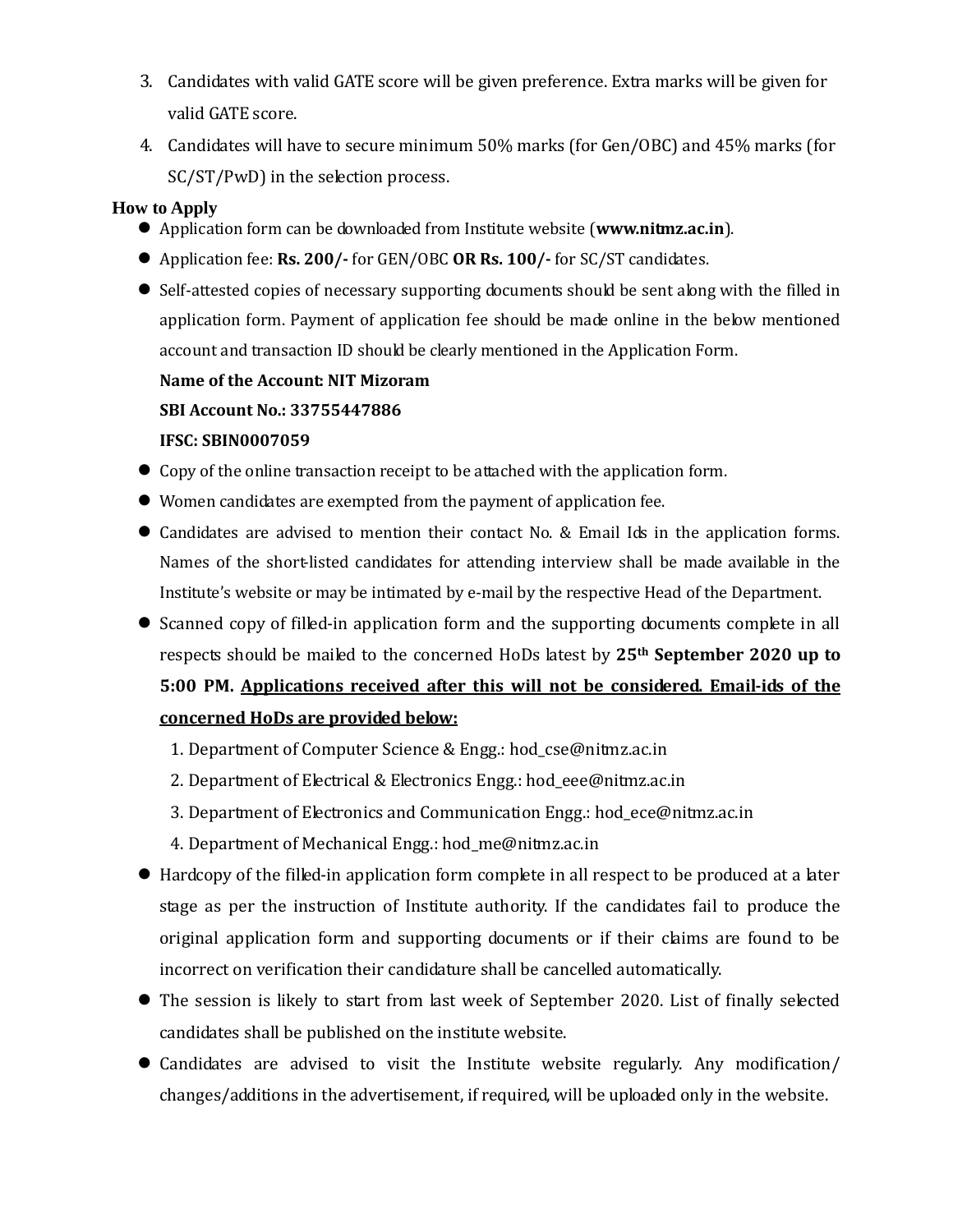- 3. Candidates with valid GATE score will be given preference. Extra marks will be given for valid GATE score.
- 4. Candidates will have to secure minimum 50% marks (for Gen/OBC) and 45% marks (for SC/ST/PwD) in the selection process.

#### **How to Apply**

- Application form can be downloaded from Institute website (**www.nitmz.ac.in**).
- Application fee: **Rs. 200/-** for GEN/OBC **OR Rs. 100/-** for SC/ST candidates.
- Self-attested copies of necessary supporting documents should be sent along with the filled in application form. Payment of application fee should be made online in the below mentioned account and transaction ID should be clearly mentioned in the Application Form.

#### **Name of the Account: NIT Mizoram**

#### **SBI Account No.: 33755447886**

#### **IFSC: SBIN0007059**

- Copy of the online transaction receipt to be attached with the application form.
- Women candidates are exempted from the payment of application fee.
- Candidates are advised to mention their contact No. & Email Ids in the application forms. Names of the short-listed candidates for attending interview shall be made available in the Institute's website or may be intimated by e-mail by the respective Head of the Department.
- Scanned copy of filled-in application form and the supporting documents complete in all respects should be mailed to the concerned HoDs latest by **25th September 2020 up to 5:00 PM. Applications received after this will not be considered. Email-ids of the concerned HoDs are provided below:**
	- 1. Department of Computer Science & Engg.: hod\_cse@nitmz.ac.in
	- 2. Department of Electrical & Electronics Engg.: hod\_eee@nitmz.ac.in
	- 3. Department of Electronics and Communication Engg.: hod\_ece@nitmz.ac.in
	- 4. Department of Mechanical Engg.: hod\_me@nitmz.ac.in
- $\bullet$  Hardcopy of the filled-in application form complete in all respect to be produced at a later stage as per the instruction of Institute authority. If the candidates fail to produce the original application form and supporting documents or if their claims are found to be incorrect on verification their candidature shall be cancelled automatically.
- The session is likely to start from last week of September 2020. List of finally selected candidates shall be published on the institute website.
- Candidates are advised to visit the Institute website regularly. Any modification/ changes/additions in the advertisement, if required, will be uploaded only in the website.